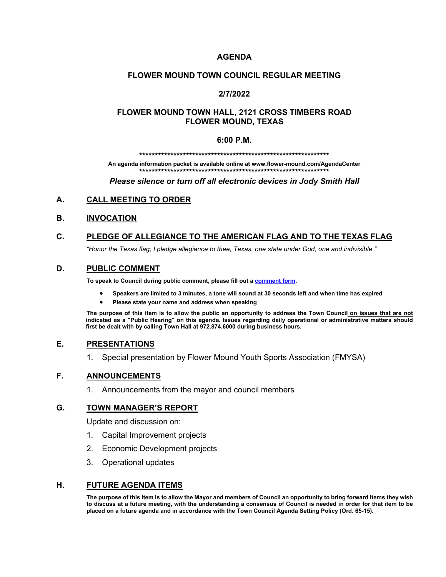### **AGENDA**

#### **FLOWER MOUND TOWN COUNCIL REGULAR MEETING**

### **2/7/2022**

### **FLOWER MOUND TOWN HALL, 2121 CROSS TIMBERS ROAD FLOWER MOUND, TEXAS**

#### **6:00 P.M.**

**\*\*\*\*\*\*\*\*\*\*\*\*\*\*\*\*\*\*\*\*\*\*\*\*\*\*\*\*\*\*\*\*\*\*\*\*\*\*\*\*\*\*\*\*\*\*\*\*\*\*\*\*\*\*\*\*\*\*\*\*\***

**An agenda information packet is available online at www.flower-mound.com/AgendaCenter \*\*\*\*\*\*\*\*\*\*\*\*\*\*\*\*\*\*\*\*\*\*\*\*\*\*\*\*\*\*\*\*\*\*\*\*\*\*\*\*\*\*\*\*\*\*\*\*\*\*\*\*\*\*\*\*\*\*\*\*\***

*Please silence or turn off all electronic devices in Jody Smith Hall*

#### **A. CALL MEETING TO ORDER**

#### **B. INVOCATION**

## **C. PLEDGE OF ALLEGIANCE TO THE AMERICAN FLAG AND TO THE TEXAS FLAG**

*"Honor the Texas flag; I pledge allegiance to thee, Texas, one state under God, one and indivisible."*

#### **D. PUBLIC COMMENT**

**To speak to Council during public comment, please fill out a [comment form.](https://www.flower-mound.com/DocumentCenter/View/10425)** 

- **Speakers are limited to 3 minutes, a tone will sound at 30 seconds left and when time has expired**
- **Please state your name and address when speaking**

**The purpose of this item is to allow the public an opportunity to address the Town Council on issues that are not indicated as a "Public Hearing" on this agenda. Issues regarding daily operational or administrative matters should first be dealt with by calling Town Hall at 972.874.6000 during business hours.**

#### **E. PRESENTATIONS**

1. Special presentation by Flower Mound Youth Sports Association (FMYSA)

#### **F. ANNOUNCEMENTS**

1. Announcements from the mayor and council members

#### **G. TOWN MANAGER'S REPORT**

Update and discussion on:

- 1. Capital Improvement projects
- 2. Economic Development projects
- 3. Operational updates

#### **H. FUTURE AGENDA ITEMS**

**The purpose of this item is to allow the Mayor and members of Council an opportunity to bring forward items they wish to discuss at a future meeting, with the understanding a consensus of Council is needed in order for that item to be placed on a future agenda and in accordance with the Town Council Agenda Setting Policy (Ord. 65-15).**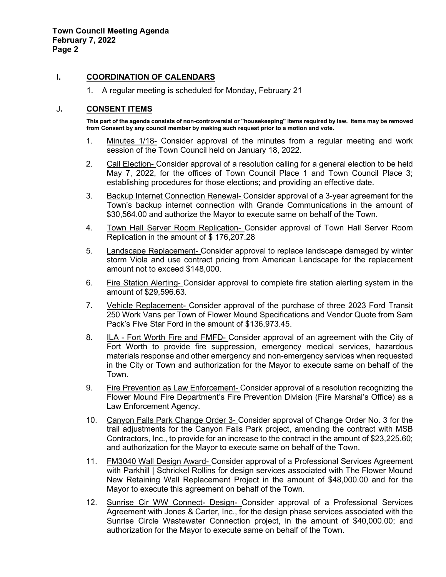#### **I. COORDINATION OF CALENDARS**

1. A regular meeting is scheduled for Monday, February 21

#### J**. CONSENT ITEMS**

**This part of the agenda consists of non-controversial or "housekeeping" items required by law. Items may be removed from Consent by any council member by making such request prior to a motion and vote.** 

- 1. Minutes 1/18- Consider approval of the minutes from a regular meeting and work session of the Town Council held on January 18, 2022.
- 2. Call Election- Consider approval of a resolution calling for a general election to be held May 7, 2022, for the offices of Town Council Place 1 and Town Council Place 3; establishing procedures for those elections; and providing an effective date.
- 3. Backup Internet Connection Renewal- Consider approval of a 3-year agreement for the Town's backup internet connection with Grande Communications in the amount of \$30,564.00 and authorize the Mayor to execute same on behalf of the Town.
- 4. Town Hall Server Room Replication- Consider approval of Town Hall Server Room Replication in the amount of \$ 176,207.28
- 5. Landscape Replacement- Consider approval to replace landscape damaged by winter storm Viola and use contract pricing from American Landscape for the replacement amount not to exceed \$148,000.
- 6. Fire Station Alerting- Consider approval to complete fire station alerting system in the amount of \$29,596.63.
- 7. Vehicle Replacement- Consider approval of the purchase of three 2023 Ford Transit 250 Work Vans per Town of Flower Mound Specifications and Vendor Quote from Sam Pack's Five Star Ford in the amount of \$136,973.45.
- 8. ILA Fort Worth Fire and FMFD- Consider approval of an agreement with the City of Fort Worth to provide fire suppression, emergency medical services, hazardous materials response and other emergency and non-emergency services when requested in the City or Town and authorization for the Mayor to execute same on behalf of the Town.
- 9. Fire Prevention as Law Enforcement- Consider approval of a resolution recognizing the Flower Mound Fire Department's Fire Prevention Division (Fire Marshal's Office) as a Law Enforcement Agency.
- 10. Canyon Falls Park Change Order 3- Consider approval of Change Order No. 3 for the trail adjustments for the Canyon Falls Park project, amending the contract with MSB Contractors, Inc., to provide for an increase to the contract in the amount of \$23,225.60; and authorization for the Mayor to execute same on behalf of the Town.
- 11. FM3040 Wall Design Award- Consider approval of a Professional Services Agreement with Parkhill | Schrickel Rollins for design services associated with The Flower Mound New Retaining Wall Replacement Project in the amount of \$48,000.00 and for the Mayor to execute this agreement on behalf of the Town.
- 12. Sunrise Cir WW Connect- Design- Consider approval of a Professional Services Agreement with Jones & Carter, Inc., for the design phase services associated with the Sunrise Circle Wastewater Connection project, in the amount of \$40,000.00; and authorization for the Mayor to execute same on behalf of the Town.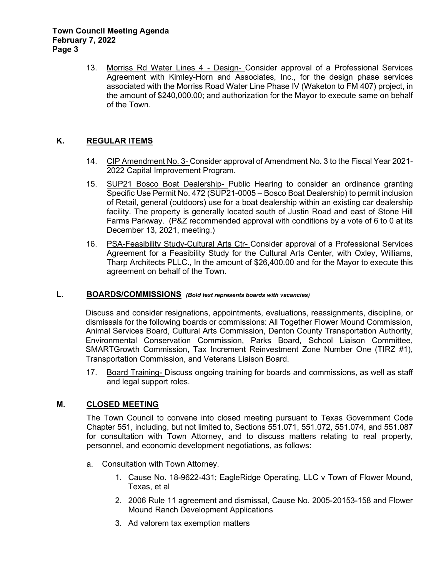13. Morriss Rd Water Lines 4 - Design- Consider approval of a Professional Services Agreement with Kimley-Horn and Associates, Inc., for the design phase services associated with the Morriss Road Water Line Phase IV (Waketon to FM 407) project, in the amount of \$240,000.00; and authorization for the Mayor to execute same on behalf of the Town.

# **K. REGULAR ITEMS**

- 14. CIP Amendment No. 3- Consider approval of Amendment No. 3 to the Fiscal Year 2021- 2022 Capital Improvement Program.
- 15. SUP21 Bosco Boat Dealership- Public Hearing to consider an ordinance granting Specific Use Permit No. 472 (SUP21-0005 – Bosco Boat Dealership) to permit inclusion of Retail, general (outdoors) use for a boat dealership within an existing car dealership facility. The property is generally located south of Justin Road and east of Stone Hill Farms Parkway. (P&Z recommended approval with conditions by a vote of 6 to 0 at its December 13, 2021, meeting.)
- 16. PSA-Feasibility Study-Cultural Arts Ctr- Consider approval of a Professional Services Agreement for a Feasibility Study for the Cultural Arts Center, with Oxley, Williams, Tharp Architects PLLC., In the amount of \$26,400.00 and for the Mayor to execute this agreement on behalf of the Town.

### **L. BOARDS/COMMISSIONS** *(Bold text represents boards with vacancies)*

Discuss and consider resignations, appointments, evaluations, reassignments, discipline, or dismissals for the following boards or commissions: All Together Flower Mound Commission, Animal Services Board, Cultural Arts Commission, Denton County Transportation Authority, Environmental Conservation Commission, Parks Board, School Liaison Committee, SMARTGrowth Commission, Tax Increment Reinvestment Zone Number One (TIRZ #1), Transportation Commission, and Veterans Liaison Board.

17. Board Training- Discuss ongoing training for boards and commissions, as well as staff and legal support roles.

### **M. CLOSED MEETING**

The Town Council to convene into closed meeting pursuant to Texas Government Code Chapter 551, including, but not limited to, Sections 551.071, 551.072, 551.074, and 551.087 for consultation with Town Attorney, and to discuss matters relating to real property, personnel, and economic development negotiations, as follows:

- a. Consultation with Town Attorney.
	- 1. Cause No. 18-9622-431; EagleRidge Operating, LLC v Town of Flower Mound, Texas, et al
	- 2. 2006 Rule 11 agreement and dismissal, Cause No. 2005-20153-158 and Flower Mound Ranch Development Applications
	- 3. Ad valorem tax exemption matters